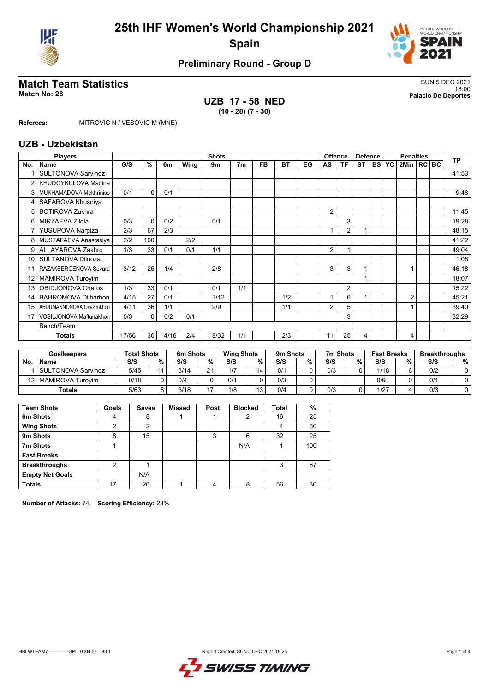



# **Match Team Statistics** SUN 5 DEC 2021

# **UZB 17 - 58 NED (10 - 28) (7 - 30)**

18:00 **Match No: 28 Palacio De Deportes**

**Referees:** MITROVIC N / VESOVIC M (MNE)

### **UZB - Uzbekistan**

|                 | <b>Players</b>             |       | Offence<br><b>Shots</b> |      |      |      |                |           |           | <b>Defence</b> |    | <b>Penalties</b> |                |           |           | <b>TP</b>      |  |  |       |
|-----------------|----------------------------|-------|-------------------------|------|------|------|----------------|-----------|-----------|----------------|----|------------------|----------------|-----------|-----------|----------------|--|--|-------|
| No.             | <b>Name</b>                | G/S   | %                       | 6m   | Wing | 9m   | 7 <sub>m</sub> | <b>FB</b> | <b>BT</b> | EG             | AS | ΤF               | <b>ST</b>      | <b>BS</b> | <b>YC</b> | 2Min   RC BC   |  |  |       |
|                 | <b>SULTONOVA Sarvinoz</b>  |       |                         |      |      |      |                |           |           |                |    |                  |                |           |           |                |  |  | 41:53 |
|                 | KHUDOYKULOVA Madina        |       |                         |      |      |      |                |           |           |                |    |                  |                |           |           |                |  |  |       |
| 3               | MUKHAMADOVA Mekhriniso     | 0/1   | $\Omega$                | 0/1  |      |      |                |           |           |                |    |                  |                |           |           |                |  |  | 9:48  |
|                 | SAFAROVA Khusniya          |       |                         |      |      |      |                |           |           |                |    |                  |                |           |           |                |  |  |       |
| 5               | <b>BOTIROVA Zukhra</b>     |       |                         |      |      |      |                |           |           |                | 2  |                  |                |           |           |                |  |  | 11:45 |
| 6               | MIRZAEVA Zilola            | 0/3   | $\Omega$                | 0/2  |      | 0/1  |                |           |           |                |    | 3                |                |           |           |                |  |  | 19:28 |
|                 | YUSUPOVA Nargiza           | 2/3   | 67                      | 2/3  |      |      |                |           |           |                |    | $\overline{2}$   |                |           |           |                |  |  | 48:15 |
| 8               | MUSTAFAEVA Anastasiya      | 2/2   | 100                     |      | 2/2  |      |                |           |           |                |    |                  |                |           |           |                |  |  | 41:22 |
| 9               | ALLAYAROVA Zakhro          | 1/3   | 33                      | 0/1  | 0/1  | 1/1  |                |           |           |                | 2  |                  |                |           |           |                |  |  | 49:04 |
| 10              | SULTANOVA Dilnoza          |       |                         |      |      |      |                |           |           |                |    |                  |                |           |           |                |  |  | 1:08  |
| 11              | RAZAKBERGENOVA Sevara      | 3/12  | 25                      | 1/4  |      | 2/8  |                |           |           |                | 3  | 3                | $\overline{ }$ |           |           |                |  |  | 46:18 |
| 12 <sup>°</sup> | <b>MAMIROVA Turoyim</b>    |       |                         |      |      |      |                |           |           |                |    |                  |                |           |           |                |  |  | 18:07 |
| 13              | OBIDJONOVA Charos          | 1/3   | 33                      | 0/1  |      | 0/1  | 1/1            |           |           |                |    | $\overline{2}$   |                |           |           |                |  |  | 15:22 |
| 14              | <b>BAHROMOVA Dilbarhon</b> | 4/15  | 27                      | 0/1  |      | 3/12 |                |           | 1/2       |                |    | 6                |                |           |           | $\overline{2}$ |  |  | 45:21 |
| 15              | ABDUMANNONOVA Oyazimkhon   | 4/11  | 36                      | 1/1  |      | 2/9  |                |           | 1/1       |                | 2  | 5                |                |           |           |                |  |  | 39:40 |
| 17              | VOSILJONOVA Maftunakhon    | 0/3   | 0                       | 0/2  | 0/1  |      |                |           |           |                |    | 3                |                |           |           |                |  |  | 32:29 |
|                 | Bench/Team                 |       |                         |      |      |      |                |           |           |                |    |                  |                |           |           |                |  |  |       |
|                 | Totals                     | 17/56 | 30                      | 4/16 | 2/4  | 8/32 | 1/1            |           | 2/3       |                | 11 | 25               | 4              |           |           | 4              |  |  |       |

| <b>Goalkeepers</b> |                       | <b>Total Shots</b> |        | 6m Shots |                | <b>Wing Shots</b> |   | 9m Shots |   | 7m Shots |   | <b>Fast Breaks</b> |   | <b>Breakthroughs</b> |   |
|--------------------|-----------------------|--------------------|--------|----------|----------------|-------------------|---|----------|---|----------|---|--------------------|---|----------------------|---|
| No.                | <b>Name</b>           | S/S                | $\%$ . | S/S      | %              | S/S               | % | S/S      | % | S/S      | % | S/S                | % | S/S                  | % |
|                    | SULTONOVA Sarvinoz    | 5/45               |        | 3/14     | 2 <sub>1</sub> | 1/7               |   | 0/1      |   | 0/3      |   | 1/18               |   | 0/2                  |   |
|                    | 12   MAMIROVA Turovim | 0/18               |        | 0/4      |                | 0/1               |   | 0/3      |   |          |   | 0/9                |   | 0/1                  |   |
|                    | Totals                | 5/63               |        | 3/18     | $-1$           | 1/8               | 3 | 0/4      |   | 0/3      |   | 1/27               |   | 0/3                  |   |

| <b>Team Shots</b>      | Goals | <b>Saves</b> | <b>Missed</b> | Post | <b>Blocked</b> | <b>Total</b> | $\%$ |
|------------------------|-------|--------------|---------------|------|----------------|--------------|------|
| 6m Shots               | 4     | 8            |               |      | 2              | 16           | 25   |
| <b>Wing Shots</b>      | າ     | 2            |               |      |                | 4            | 50   |
| 9m Shots               | 8     | 15           |               | 3    | 6              | 32           | 25   |
| 7m Shots               |       |              |               |      | N/A            |              | 100  |
| <b>Fast Breaks</b>     |       |              |               |      |                |              |      |
| <b>Breakthroughs</b>   | 2     |              |               |      |                | 3            | 67   |
| <b>Empty Net Goals</b> |       | N/A          |               |      |                |              |      |
| <b>Totals</b>          | 17    | 26           |               | 4    | 8              | 56           | 30   |

**Number of Attacks:** 74, **Scoring Efficiency:** 23%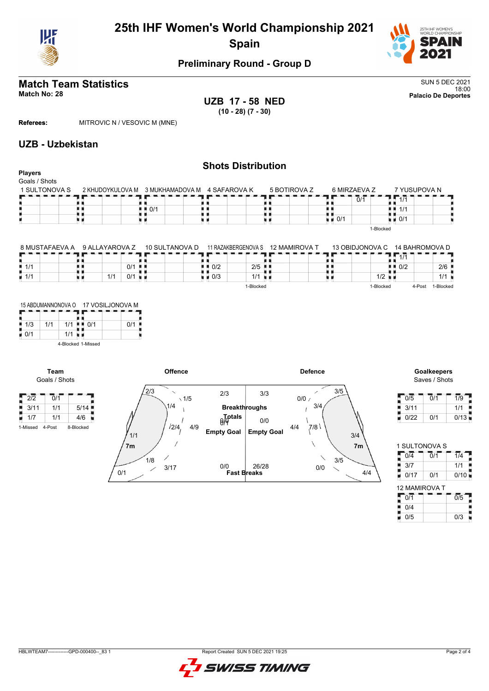



# **Match Team Statistics** SUN 5 DEC 2021

18:00 **Match No: 28 Palacio De Deportes UZB 17 - 58 NED (10 - 28) (7 - 30)**

**Referees:** MITROVIC N / VESOVIC M (MNE)

## **UZB - Uzbekistan**

### **Shots Distribution Players** Goals / Shots 7 YUSUPOVA N 1 SULTONOVA S 2 KHUDOYKULOVA M 3 MUKHAMADOVA M 4 SAFAROVA K 5 BOTIROVA Z 6 MIRZAEVA Z  $1.71$  $0/1$ 89  $\frac{1}{2}$   $\frac{1}{2}$  0/1 ₿ Œ  $\frac{1}{1}$  0/1 H)  $1/1$ u p u d х. u d 0/1 1-Blocked

| 8 MUSTAFAEVA A     | 9 ALLAYAROVA Z | 10 SULTANOVA D |                                     | 11 RAZAKBERGENOVA S  | 12 MAMIROVA T | 13 OBIDJONOVA C      | 14 BAHROMOVA D     |           |
|--------------------|----------------|----------------|-------------------------------------|----------------------|---------------|----------------------|--------------------|-----------|
|                    |                |                |                                     |                      |               |                      | 1/1                |           |
| 1/1                |                | $0/1$ .        | $\blacksquare$ $\blacksquare$ $0/2$ | $2/5$ $\blacksquare$ |               |                      | $\blacksquare$ 0/2 | 2/6       |
| $\blacksquare$ 1/1 | 1/1<br>0/1     |                | $\blacksquare$ 0/3                  | 1/1<br>- 11 1        |               | $1/2$ $\blacksquare$ |                    | 1/1       |
|                    |                |                |                                     | 1-Blocked            |               | 1-Blocked            | 4-Post             | 1-Blocked |

|     | 15 ABDUMANNONOVA O |     | 17 VOSILJONOVA M   |     |  |  |  |  |
|-----|--------------------|-----|--------------------|-----|--|--|--|--|
| 1/3 | 1/1                | 1/1 | 0/1                | 0/1 |  |  |  |  |
| 0/1 |                    | 1/1 |                    |     |  |  |  |  |
|     |                    |     | 4-Blocked 1-Missed |     |  |  |  |  |

**Team**

 $2/2$  0/1



Saves / Shots

| 0/5  | 0/1 | 1/9  |
|------|-----|------|
| 3/11 |     | 1/1  |
| 0/22 | 0/1 | 0/13 |

| 1 SULTONOVA S        |                  |  |  |  |  |  |  |  |  |  |  |
|----------------------|------------------|--|--|--|--|--|--|--|--|--|--|
| $\overline{0}/1$     | 1/4              |  |  |  |  |  |  |  |  |  |  |
|                      | 1/1              |  |  |  |  |  |  |  |  |  |  |
| 0/1                  | 0/10             |  |  |  |  |  |  |  |  |  |  |
| <b>12 MAMIROVA T</b> |                  |  |  |  |  |  |  |  |  |  |  |
|                      | $\overline{0/5}$ |  |  |  |  |  |  |  |  |  |  |
|                      |                  |  |  |  |  |  |  |  |  |  |  |
|                      |                  |  |  |  |  |  |  |  |  |  |  |

 $0/5$  0/3

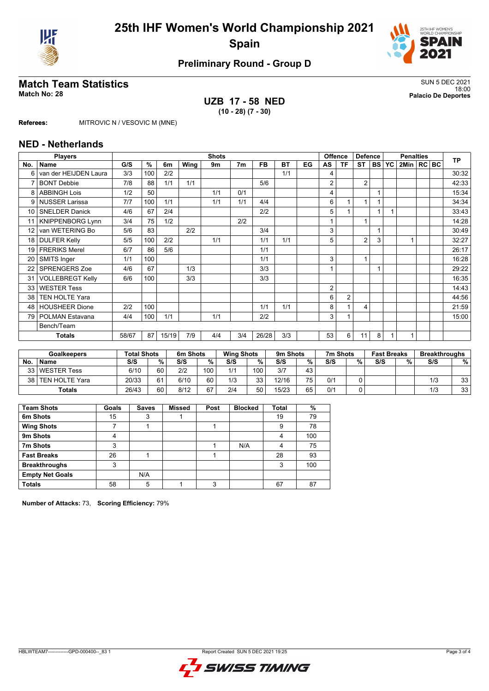



# **Match Team Statistics** SUN 5 DEC 2021

## **UZB 17 - 58 NED (10 - 28) (7 - 30)**

18:00 **Match No: 28 Palacio De Deportes**

**Referees:** MITROVIC N / VESOVIC M (MNE)

## **NED - Netherlands**

|                 | <b>Players</b>          | <b>Shots</b><br><b>Offence</b> |     |       |      |     |                |           |           | <b>Defence</b> |    |                | <b>Penalties</b> |   |              |              | <b>TP</b> |  |       |
|-----------------|-------------------------|--------------------------------|-----|-------|------|-----|----------------|-----------|-----------|----------------|----|----------------|------------------|---|--------------|--------------|-----------|--|-------|
| No.             | <b>Name</b>             | G/S                            | %   | 6m    | Wing | 9m  | 7 <sub>m</sub> | <b>FB</b> | <b>BT</b> | EG             | AS | <b>TF</b>      | <b>ST</b>        |   | <b>BS YC</b> | 2Min   RC BC |           |  |       |
| 6               | van der HEIJDEN Laura   | 3/3                            | 100 | 2/2   |      |     |                |           | 1/1       |                | 4  |                |                  |   |              |              |           |  | 30:32 |
| 7               | <b>BONT Debbie</b>      | 7/8                            | 88  | 1/1   | 1/1  |     |                | 5/6       |           |                | 2  |                | $\overline{2}$   |   |              |              |           |  | 42:33 |
| 8               | <b>ABBINGH Lois</b>     | 1/2                            | 50  |       |      | 1/1 | 0/1            |           |           |                | 4  |                |                  |   |              |              |           |  | 15:34 |
| 9               | <b>NUSSER Larissa</b>   | 7/7                            | 100 | 1/1   |      | 1/1 | 1/1            | 4/4       |           |                | 6  |                | 1                |   |              |              |           |  | 34:34 |
| 10 <sup>1</sup> | <b>SNELDER Danick</b>   | 4/6                            | 67  | 2/4   |      |     |                | 2/2       |           |                | 5  |                |                  |   |              |              |           |  | 33:43 |
|                 | <b>KNIPPENBORG Lynn</b> | 3/4                            | 75  | 1/2   |      |     | 2/2            |           |           |                |    |                | 4                |   |              |              |           |  | 14:28 |
| 12              | van WETERING Bo         | 5/6                            | 83  |       | 2/2  |     |                | 3/4       |           |                | 3  |                |                  |   |              |              |           |  | 30:49 |
| 18 <sup>1</sup> | <b>DULFER Kelly</b>     | 5/5                            | 100 | 2/2   |      | 1/1 |                | 1/1       | 1/1       |                | 5  |                | $\overline{2}$   | 3 |              |              |           |  | 32:27 |
| 19              | <b>FRERIKS Merel</b>    | 6/7                            | 86  | 5/6   |      |     |                | 1/1       |           |                |    |                |                  |   |              |              |           |  | 26:17 |
| 20              | <b>SMITS Inger</b>      | 1/1                            | 100 |       |      |     |                | 1/1       |           |                | 3  |                | 1                |   |              |              |           |  | 16:28 |
| 22              | <b>SPRENGERS Zoe</b>    | 4/6                            | 67  |       | 1/3  |     |                | 3/3       |           |                |    |                |                  |   |              |              |           |  | 29:22 |
| 31              | <b>VOLLEBREGT Kelly</b> | 6/6                            | 100 |       | 3/3  |     |                | 3/3       |           |                |    |                |                  |   |              |              |           |  | 16:35 |
| 33              | <b>WESTER Tess</b>      |                                |     |       |      |     |                |           |           |                | 2  |                |                  |   |              |              |           |  | 14:43 |
| 38              | <b>TEN HOLTE Yara</b>   |                                |     |       |      |     |                |           |           |                | 6  | $\overline{2}$ |                  |   |              |              |           |  | 44:56 |
| 48              | <b>HOUSHEER Dione</b>   | 2/2                            | 100 |       |      |     |                | 1/1       | 1/1       |                | 8  |                | 4                |   |              |              |           |  | 21:59 |
| 79              | POLMAN Estavana         | 4/4                            | 100 | 1/1   |      | 1/1 |                | 2/2       |           |                | 3  |                |                  |   |              |              |           |  | 15:00 |
|                 | Bench/Team              |                                |     |       |      |     |                |           |           |                |    |                |                  |   |              |              |           |  |       |
|                 | <b>Totals</b>           | 58/67                          | 87  | 15/19 | 7/9  | 4/4 | 3/4            | 26/28     | 3/3       |                | 53 | 6              | 11               | 8 |              |              |           |  |       |

| <b>Goalkeepers</b> |                     | <b>Total Shots</b> |    | 6m Shots |     | <b>Wing Shots</b> |     | 9m Shots |                 | 7m Shots | <b>Fast Breaks</b> |     | <b>Breakthroughs</b> |     |    |
|--------------------|---------------------|--------------------|----|----------|-----|-------------------|-----|----------|-----------------|----------|--------------------|-----|----------------------|-----|----|
| No.                | <b>Name</b>         | S/S                | %. | S/S      | %   | S/S               | %   | S/S      | %               | S/S      | %                  | S/S | %                    | S/S | %  |
|                    | 33 WESTER Tess      | 6/10               | 60 | 2/2      | 100 | 1/1               | 100 | 3/7      | 43              |          |                    |     |                      |     |    |
|                    | 38   TEN HOLTE Yara | 20/33              | 61 | 6/10     | 60  | 1/3               | วว  | 12/16    | 75 <sub>1</sub> | 0/1      |                    |     |                      | 1/3 | 33 |
|                    | Totals              | 26/43              | 60 | 8/12     | 67  | 2/4               | 50  | 15/23    | 65              | 0/1      |                    |     |                      | 1/3 | 33 |

| <b>Team Shots</b>      | Goals | <b>Saves</b> | <b>Missed</b> | Post | <b>Blocked</b> | <b>Total</b> | %   |
|------------------------|-------|--------------|---------------|------|----------------|--------------|-----|
| 6m Shots               | 15    | 3            |               |      |                | 19           | 79  |
| <b>Wing Shots</b>      |       |              |               |      |                | 9            | 78  |
| 9m Shots               | 4     |              |               |      |                | 4            | 100 |
| 7m Shots               | 3     |              |               |      | N/A            | 4            | 75  |
| <b>Fast Breaks</b>     | 26    |              |               |      |                | 28           | 93  |
| <b>Breakthroughs</b>   | 3     |              |               |      |                | 3            | 100 |
| <b>Empty Net Goals</b> |       | N/A          |               |      |                |              |     |
| <b>Totals</b>          | 58    | 5            |               | 3    |                | 67           | 87  |

**Number of Attacks:** 73, **Scoring Efficiency:** 79%